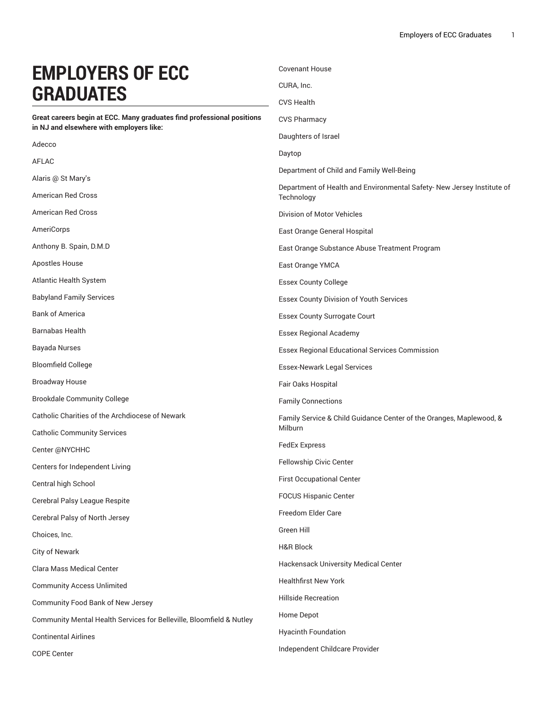## **EMPLOYERS OF ECC GRADUATES**

**Great careers begin at ECC. Many graduates find professional positions in NJ and elsewhere with employers like:**

Adecco AFLAC Alaris @ St Mary's American Red Cross American Red Cross AmeriCorps Anthony B. Spain, D.M.D Apostles House Atlantic Health System Babyland Family Services Bank of America Barnabas Health Bayada Nurses Bloomfield College Broadway House Brookdale Community College Catholic Charities of the Archdiocese of Newark Catholic Community Services Center @NYCHHC Centers for Independent Living Central high School Cerebral Palsy League Respite Cerebral Palsy of North Jersey Choices, Inc. City of Newark Clara Mass Medical Center Community Access Unlimited Community Food Bank of New Jersey Community Mental Health Services for Belleville, Bloomfield & Nutley Continental Airlines COPE Center CVS Pharmacy Daughters of Israel Daytop Department of Child and Family Well-Being Department of Health and Environmental Safety- New Jersey Institute of **Technology** Division of Motor Vehicles East Orange General Hospital East Orange Substance Abuse Treatment Program East Orange YMCA Essex County College Essex County Division of Youth Services Essex County Surrogate Court Essex Regional Academy Essex Regional Educational Services Commission Essex-Newark Legal Services Fair Oaks Hospital Family Connections Family Service & Child Guidance Center of the Oranges, Maplewood, & Milburn FedEx Express Fellowship Civic Center First Occupational Center FOCUS Hispanic Center Freedom Elder Care Green Hill H&R Block Hackensack University Medical Center Healthfirst New York Hillside Recreation Home Depot Hyacinth Foundation Independent Childcare Provider

Covenant House

CURA, Inc. CVS Health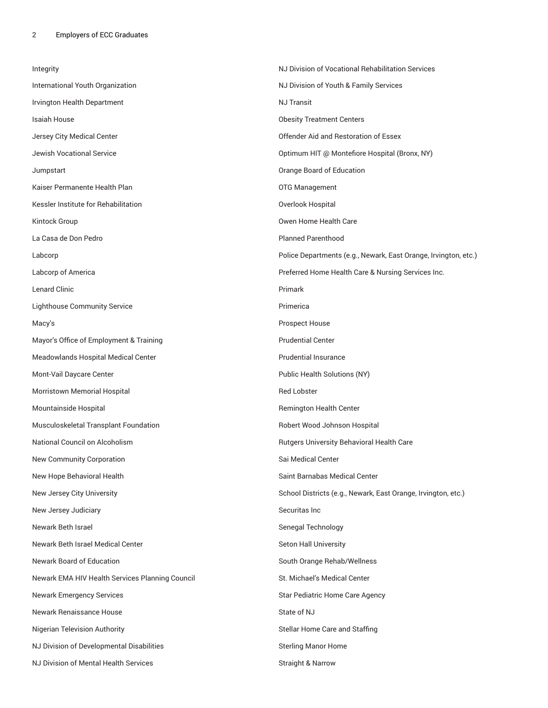| Integrity                                       | NJ Division of Vocational Rehabilitation Services               |
|-------------------------------------------------|-----------------------------------------------------------------|
| International Youth Organization                | NJ Division of Youth & Family Services                          |
| Irvington Health Department                     | <b>NJ Transit</b>                                               |
| Isaiah House                                    | <b>Obesity Treatment Centers</b>                                |
| Jersey City Medical Center                      | Offender Aid and Restoration of Essex                           |
| Jewish Vocational Service                       | Optimum HIT @ Montefiore Hospital (Bronx, NY)                   |
| Jumpstart                                       | Orange Board of Education                                       |
| Kaiser Permanente Health Plan                   | OTG Management                                                  |
| Kessler Institute for Rehabilitation            | Overlook Hospital                                               |
| Kintock Group                                   | Owen Home Health Care                                           |
| La Casa de Don Pedro                            | <b>Planned Parenthood</b>                                       |
| Labcorp                                         | Police Departments (e.g., Newark, East Orange, Irvington, etc.) |
| Labcorp of America                              | Preferred Home Health Care & Nursing Services Inc.              |
| <b>Lenard Clinic</b>                            | Primark                                                         |
| <b>Lighthouse Community Service</b>             | Primerica                                                       |
| Macy's                                          | <b>Prospect House</b>                                           |
| Mayor's Office of Employment & Training         | <b>Prudential Center</b>                                        |
| Meadowlands Hospital Medical Center             | <b>Prudential Insurance</b>                                     |
| Mont-Vail Daycare Center                        | Public Health Solutions (NY)                                    |
| Morristown Memorial Hospital                    | <b>Red Lobster</b>                                              |
| Mountainside Hospital                           | Remington Health Center                                         |
| Musculoskeletal Transplant Foundation           | Robert Wood Johnson Hospital                                    |
| National Council on Alcoholism                  | Rutgers University Behavioral Health Care                       |
| New Community Corporation                       | Sai Medical Center                                              |
| New Hope Behavioral Health                      | Saint Barnabas Medical Center                                   |
| New Jersey City University                      | School Districts (e.g., Newark, East Orange, Irvington, etc.)   |
| New Jersey Judiciary                            | Securitas Inc                                                   |
| Newark Beth Israel                              | Senegal Technology                                              |
| Newark Beth Israel Medical Center               | Seton Hall University                                           |
| Newark Board of Education                       | South Orange Rehab/Wellness                                     |
| Newark EMA HIV Health Services Planning Council | St. Michael's Medical Center                                    |
| <b>Newark Emergency Services</b>                | Star Pediatric Home Care Agency                                 |
| Newark Renaissance House                        | State of NJ                                                     |
| Nigerian Television Authority                   | Stellar Home Care and Staffing                                  |
| NJ Division of Developmental Disabilities       | <b>Sterling Manor Home</b>                                      |
| NJ Division of Mental Health Services           |                                                                 |